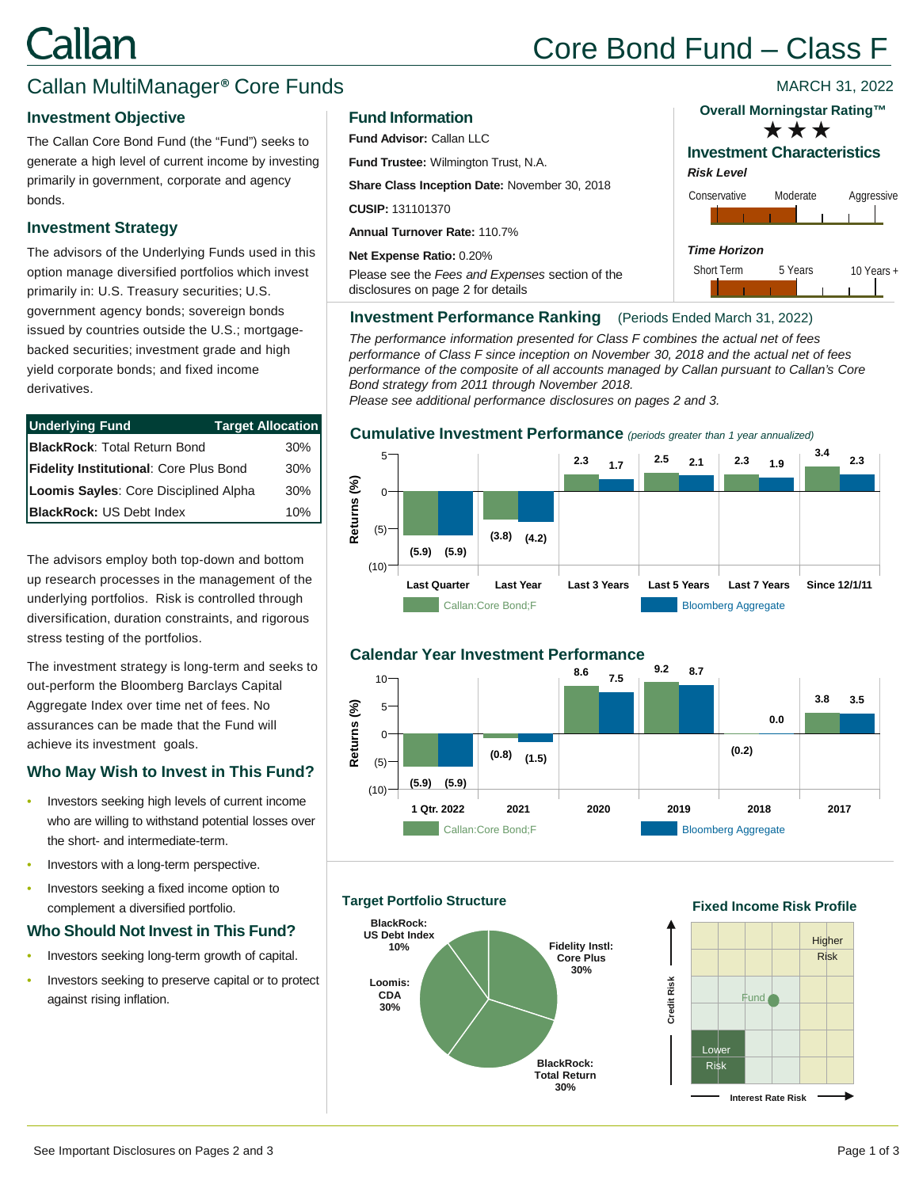# <u>`allan</u>

## Core Bond Fund – Class F

## Callan MultiManager® Core Funds

## **Investment Objective**

The Callan Core Bond Fund (the "Fund") seeks to generate a high level of current income by investing primarily in government, corporate and agency bonds.

## **Investment Strategy**

The advisors of the Underlying Funds used in this option manage diversified portfolios which invest primarily in: U.S. Treasury securities; U.S. government agency bonds; sovereign bonds issued by countries outside the U.S.; mortgagebacked securities; investment grade and high yield corporate bonds; and fixed income derivatives.

| <b>Underlying Fund</b>                 | <b>Target Allocation</b> |
|----------------------------------------|--------------------------|
| <b>BlackRock: Total Return Bond</b>    | $30\%$                   |
| Fidelity Institutional: Core Plus Bond | $30\%$                   |
| Loomis Sayles: Core Disciplined Alpha  | $30\%$                   |
| <b>BlackRock: US Debt Index</b>        | $10\%$                   |

The advisors employ both top-down and bottom up research processes in the management of the underlying portfolios. Risk is controlled through diversification, duration constraints, and rigorous stress testing of the portfolios.

The investment strategy is long-term and seeks to out-perform the Bloomberg Barclays Capital Aggregate Index over time net of fees. No assurances can be made that the Fund will achieve its investment goals.

## **Who May Wish to Invest in This Fund?**

- Investors seeking high levels of current income who are willing to withstand potential losses over the short- and intermediate-term.
- Investors with a long-term perspective.
- Investors seeking a fixed income option to complement a diversified portfolio.

## **Who Should Not Invest in This Fund?**

- Investors seeking long-term growth of capital.
- Investors seeking to preserve capital or to protect against rising inflation.

## **Fund Information**

**Fund Advisor:** Callan LLC

**Fund Trustee:** Wilmington Trust, N.A.

**Share Class Inception Date:** November 30, 2018

**CUSIP:** 131101370

**Annual Turnover Rate:** 110.7%

**Net Expense Ratio:** 0.20%

Please see the *Fees and Expenses* section of the disclosures on page 2 for details

## **Overall Morningstar Rating™**

MARCH 31, 2022

**Investment Characteristics** \*\*\*

## *Risk Level*



## **Investment Performance Ranking** (Periods Ended March 31, 2022)

*The performance information presented for Class F combines the actual net of fees performance of Class F since inception on November 30, 2018 and the actual net of fees performance of the composite of all accounts managed by Callan pursuant to Callan's Core Bond strategy from 2011 through November 2018.* 

*Please see additional performance disclosures on pages 2 and 3.*

## **Cumulative Investment Performance** *(periods greater than 1 year annualized)*





## **Target Portfolio Structure**



## **Fixed Income Risk Profile**

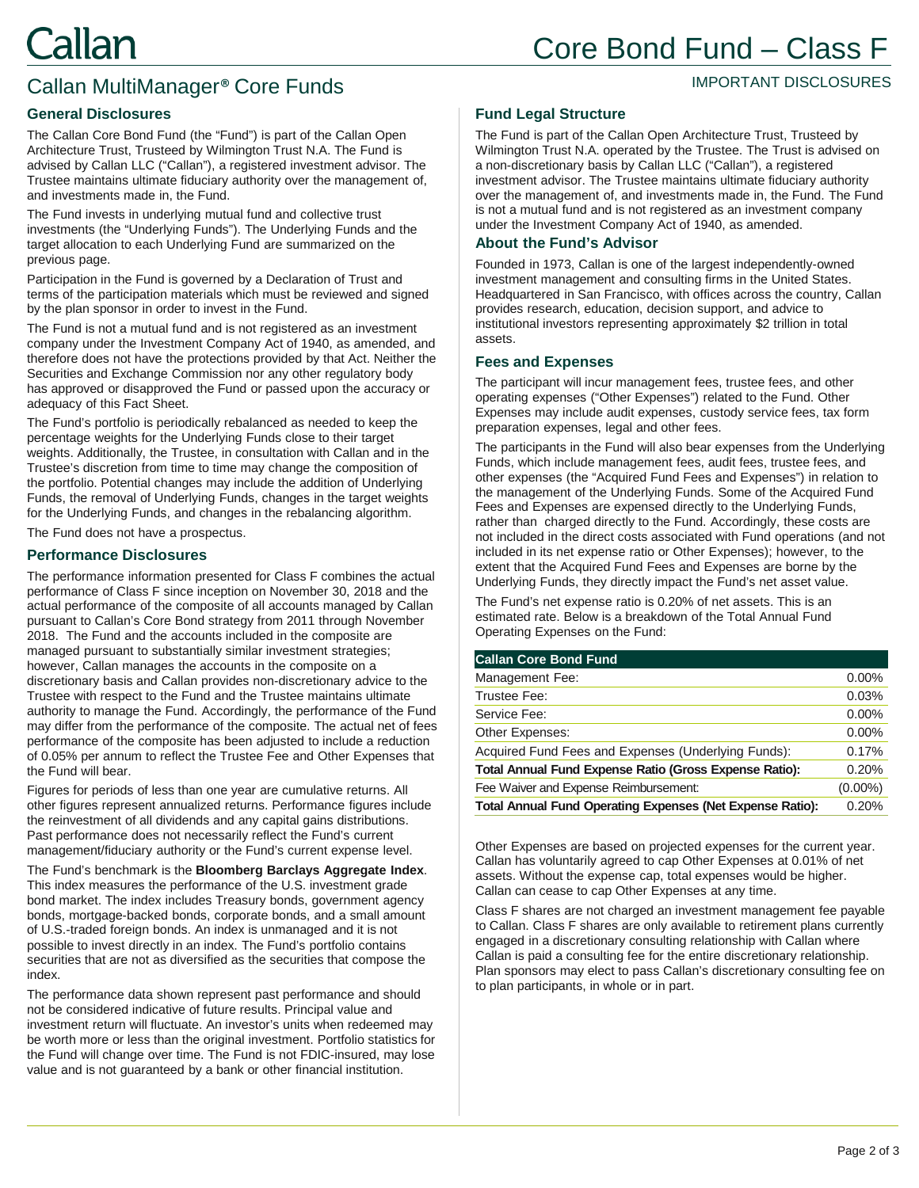## IMPORTANT DISCLOSURES

## **General Disclosures**

The Callan Core Bond Fund (the "Fund") is part of the Callan Open Architecture Trust, Trusteed by Wilmington Trust N.A. The Fund is advised by Callan LLC ("Callan"), a registered investment advisor. The Trustee maintains ultimate fiduciary authority over the management of, and investments made in, the Fund.

Callan MultiManager® Core Funds

The Fund invests in underlying mutual fund and collective trust investments (the "Underlying Funds"). The Underlying Funds and the target allocation to each Underlying Fund are summarized on the previous page.

Participation in the Fund is governed by a Declaration of Trust and terms of the participation materials which must be reviewed and signed by the plan sponsor in order to invest in the Fund.

The Fund is not a mutual fund and is not registered as an investment company under the Investment Company Act of 1940, as amended, and therefore does not have the protections provided by that Act. Neither the Securities and Exchange Commission nor any other regulatory body has approved or disapproved the Fund or passed upon the accuracy or adequacy of this Fact Sheet.

The Fund's portfolio is periodically rebalanced as needed to keep the percentage weights for the Underlying Funds close to their target weights. Additionally, the Trustee, in consultation with Callan and in the Trustee's discretion from time to time may change the composition of the portfolio. Potential changes may include the addition of Underlying Funds, the removal of Underlying Funds, changes in the target weights for the Underlying Funds, and changes in the rebalancing algorithm.

The Fund does not have a prospectus.

## **Performance Disclosures**

The performance information presented for Class F combines the actual performance of Class F since inception on November 30, 2018 and the actual performance of the composite of all accounts managed by Callan pursuant to Callan's Core Bond strategy from 2011 through November 2018. The Fund and the accounts included in the composite are managed pursuant to substantially similar investment strategies; however, Callan manages the accounts in the composite on a discretionary basis and Callan provides non-discretionary advice to the Trustee with respect to the Fund and the Trustee maintains ultimate authority to manage the Fund. Accordingly, the performance of the Fund may differ from the performance of the composite. The actual net of fees performance of the composite has been adjusted to include a reduction of 0.05% per annum to reflect the Trustee Fee and Other Expenses that the Fund will bear.

Figures for periods of less than one year are cumulative returns. All other figures represent annualized returns. Performance figures include the reinvestment of all dividends and any capital gains distributions. Past performance does not necessarily reflect the Fund's current management/fiduciary authority or the Fund's current expense level.

The Fund's benchmark is the **Bloomberg Barclays Aggregate Index**. This index measures the performance of the U.S. investment grade bond market. The index includes Treasury bonds, government agency bonds, mortgage-backed bonds, corporate bonds, and a small amount of U.S.-traded foreign bonds. An index is unmanaged and it is not possible to invest directly in an index. The Fund's portfolio contains securities that are not as diversified as the securities that compose the index.

The performance data shown represent past performance and should not be considered indicative of future results. Principal value and investment return will fluctuate. An investor's units when redeemed may be worth more or less than the original investment. Portfolio statistics for the Fund will change over time. The Fund is not FDIC-insured, may lose value and is not guaranteed by a bank or other financial institution.

#### **Fund Legal Structure**

The Fund is part of the Callan Open Architecture Trust, Trusteed by Wilmington Trust N.A. operated by the Trustee. The Trust is advised on a non-discretionary basis by Callan LLC ("Callan"), a registered investment advisor. The Trustee maintains ultimate fiduciary authority over the management of, and investments made in, the Fund. The Fund is not a mutual fund and is not registered as an investment company under the Investment Company Act of 1940, as amended.

#### **About the Fund's Advisor**

Founded in 1973, Callan is one of the largest independently-owned investment management and consulting firms in the United States. Headquartered in San Francisco, with offices across the country, Callan provides research, education, decision support, and advice to institutional investors representing approximately \$2 trillion in total assets.

#### **Fees and Expenses**

The participant will incur management fees, trustee fees, and other operating expenses ("Other Expenses") related to the Fund. Other Expenses may include audit expenses, custody service fees, tax form preparation expenses, legal and other fees.

The participants in the Fund will also bear expenses from the Underlying Funds, which include management fees, audit fees, trustee fees, and other expenses (the "Acquired Fund Fees and Expenses") in relation to the management of the Underlying Funds. Some of the Acquired Fund Fees and Expenses are expensed directly to the Underlying Funds, rather than charged directly to the Fund. Accordingly, these costs are not included in the direct costs associated with Fund operations (and not included in its net expense ratio or Other Expenses); however, to the extent that the Acquired Fund Fees and Expenses are borne by the Underlying Funds, they directly impact the Fund's net asset value.

The Fund's net expense ratio is 0.20% of net assets. This is an estimated rate. Below is a breakdown of the Total Annual Fund Operating Expenses on the Fund:

| <b>Callan Core Bond Fund</b>                                     |            |
|------------------------------------------------------------------|------------|
| Management Fee:                                                  | $0.00\%$   |
| Trustee Fee:                                                     | 0.03%      |
| Service Fee:                                                     | 0.00%      |
| Other Expenses:                                                  | 0.00%      |
| Acquired Fund Fees and Expenses (Underlying Funds):              | 0.17%      |
| Total Annual Fund Expense Ratio (Gross Expense Ratio):           | 0.20%      |
| Fee Waiver and Expense Reimbursement:                            | $(0.00\%)$ |
| <b>Total Annual Fund Operating Expenses (Net Expense Ratio):</b> | 0.20%      |
|                                                                  |            |

Other Expenses are based on projected expenses for the current year. Callan has voluntarily agreed to cap Other Expenses at 0.01% of net assets. Without the expense cap, total expenses would be higher. Callan can cease to cap Other Expenses at any time.

Class F shares are not charged an investment management fee payable to Callan. Class F shares are only available to retirement plans currently engaged in a discretionary consulting relationship with Callan where Callan is paid a consulting fee for the entire discretionary relationship. Plan sponsors may elect to pass Callan's discretionary consulting fee on to plan participants, in whole or in part.